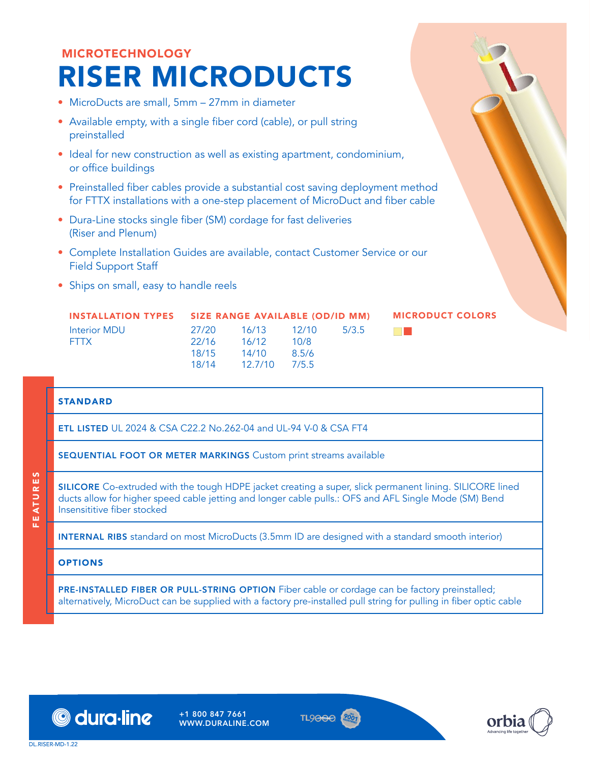## MICROTECHNOLOGY RISER MICRODUCTS

- MicroDucts are small, 5mm 27mm in diameter
- Available empty, with a single fiber cord (cable), or pull string preinstalled
- Ideal for new construction as well as existing apartment, condominium, or office buildings
- Preinstalled fiber cables provide a substantial cost saving deployment method for FTTX installations with a one-step placement of MicroDuct and fiber cable
- Dura-Line stocks single fiber (SM) cordage for fast deliveries (Riser and Plenum)
- Complete Installation Guides are available, contact Customer Service or our Field Support Staff
- Ships on small, easy to handle reels

| <b>INSTALLATION TYPES</b> | SIZE RANGE AVAILABLE (OD/ID MM) |         |       |       |  |  |  |
|---------------------------|---------------------------------|---------|-------|-------|--|--|--|
| Interior MDU              | 27/20                           | 16/13   | 12/10 | 5/3.5 |  |  |  |
| <b>FTTX</b>               | 22/16                           | 16/12   | 10/8  |       |  |  |  |
|                           | 18/15                           | 14/10   | 8.5/6 |       |  |  |  |
|                           | 18/14                           | 12.7/10 | 7/5.5 |       |  |  |  |

## STANDARD

ETL LISTED UL 2024 & CSA C22.2 No.262-04 and UL-94 V-0 & CSA FT4

SEQUENTIAL FOOT OR METER MARKINGS Custom print streams available

SILICORE Co-extruded with the tough HDPE jacket creating a super, slick permanent lining. SILICORE lined ducts allow for higher speed cable jetting and longer cable pulls.: OFS and AFL Single Mode (SM) Bend Insensititive fiber stocked

INTERNAL RIBS standard on most MicroDucts (3.5mm ID are designed with a standard smooth interior)

## **OPTIONS**

PRE-INSTALLED FIBER OR PULL-STRING OPTION Fiber cable or cordage can be factory preinstalled; alternatively, MicroDuct can be supplied with a factory pre-installed pull string for pulling in fiber optic cable



+1 800 847 7661 WWW.DURALINE.COM





MICRODUCT COLORS

EA